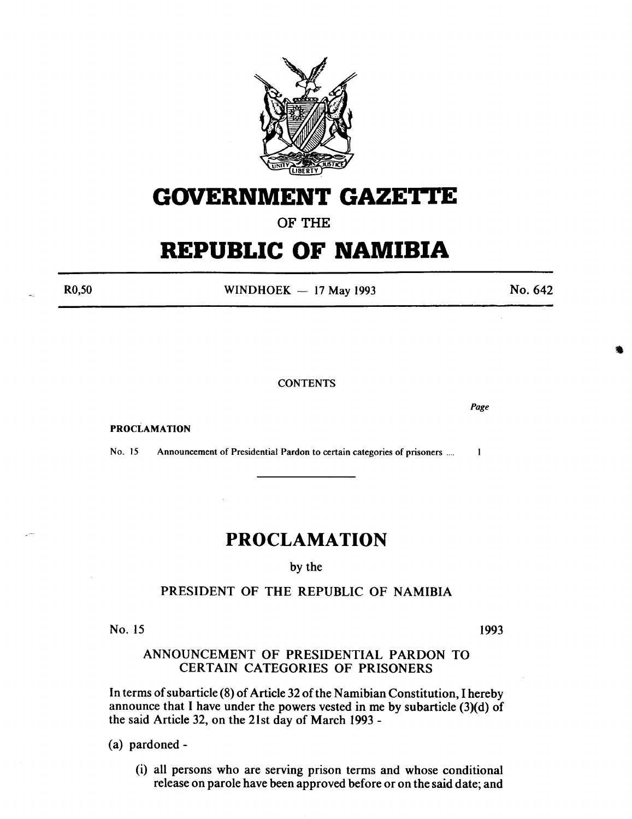

## **GOVERNMENT GAZETTE**

OF THE

# **REPUBLIC OF NAMIBIA**

R0,50

WINDHOEK  $-$  17 May 1993

No. 642

•

**CONTENTS** 

PROCLAMATION

No. 15 Announcement of Presidential Pardon to certain categories of prisoners ....  $\mathbf{1}$ 

## **PROCLAMATION**

by the

#### PRESIDENT OF THE REPUBLIC OF NAMIBIA

No. 15

1993

### ANNOUNCEMENT OF PRESIDENTIAL PARDON TO CERTAIN CATEGORIES OF PRISONERS

In terms of subarticle (8) of Article 32 of the Namibian Constitution, I hereby announce that I have under the powers vested in me by subarticle  $(3)(d)$  of the said Article 32, on the 21st day of March 1993-

(a) pardoned -

(i) all persons who are serving prison terms and whose conditional release on parole have been approved before or on the said date; and

*Page*